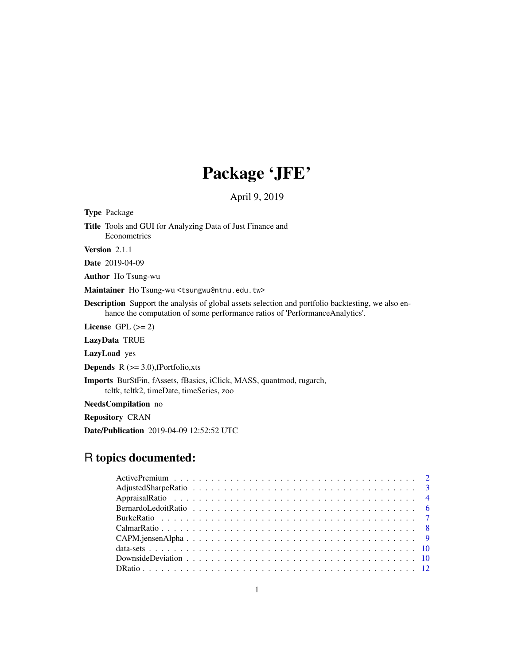# Package 'JFE'

April 9, 2019

Type Package Title Tools and GUI for Analyzing Data of Just Finance and Econometrics Version 2.1.1 Date 2019-04-09 Author Ho Tsung-wu Maintainer Ho Tsung-wu <tsungwu@ntnu.edu.tw>

Description Support the analysis of global assets selection and portfolio backtesting, we also enhance the computation of some performance ratios of 'PerformanceAnalytics'.

License GPL  $(>= 2)$ 

LazyData TRUE

LazyLoad yes

**Depends**  $R$  ( $>= 3.0$ ), fPortfolio, xts

Imports BurStFin, fAssets, fBasics, iClick, MASS, quantmod, rugarch, tcltk, tcltk2, timeDate, timeSeries, zoo

NeedsCompilation no

Repository CRAN

Date/Publication 2019-04-09 12:52:52 UTC

# R topics documented: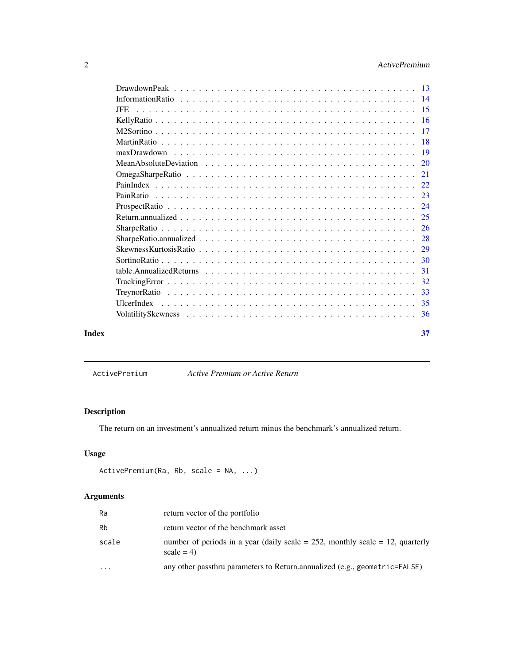# <span id="page-1-0"></span>2 ActivePremium

|       | IFE. |     |
|-------|------|-----|
|       |      |     |
|       |      |     |
|       |      | -18 |
|       |      |     |
|       |      |     |
|       |      |     |
|       |      | 22. |
|       |      |     |
|       |      |     |
|       |      |     |
|       |      |     |
|       |      |     |
|       |      |     |
|       |      |     |
|       |      | -31 |
|       |      | 32  |
|       |      |     |
|       |      |     |
|       |      |     |
| Index |      | 37  |

<span id="page-1-1"></span>ActivePremium *Active Premium or Active Return*

# Description

The return on an investment's annualized return minus the benchmark's annualized return.

# Usage

```
ActivePremium(Ra, Rb, scale = NA, ...)
```

| Ra        | return vector of the portfolio                                                                  |
|-----------|-------------------------------------------------------------------------------------------------|
| Rb        | return vector of the benchmark asset                                                            |
| scale     | number of periods in a year (daily scale = $252$ , monthly scale = 12, quarterly<br>$scale = 4$ |
| $\ddotsc$ | any other passthru parameters to Return.annualized (e.g., geometric=FALSE)                      |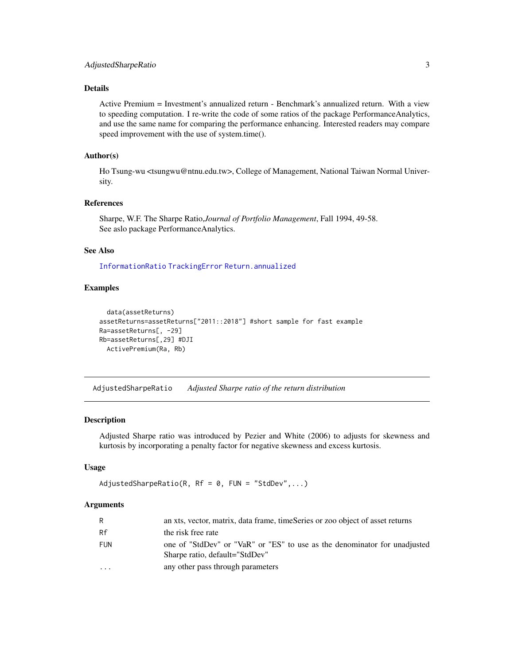# <span id="page-2-0"></span>Details

Active Premium = Investment's annualized return - Benchmark's annualized return. With a view to speeding computation. I re-write the code of some ratios of the package PerformanceAnalytics, and use the same name for comparing the performance enhancing. Interested readers may compare speed improvement with the use of system.time().

# Author(s)

Ho Tsung-wu <tsungwu@ntnu.edu.tw>, College of Management, National Taiwan Normal University.

# References

Sharpe, W.F. The Sharpe Ratio,*Journal of Portfolio Management*, Fall 1994, 49-58. See aslo package PerformanceAnalytics.

#### See Also

[InformationRatio](#page-13-1) [TrackingError](#page-31-1) [Return.annualized](#page-24-1)

# Examples

```
data(assetReturns)
assetReturns=assetReturns["2011::2018"] #short sample for fast example
Ra=assetReturns[, -29]
Rb=assetReturns[,29] #DJI
  ActivePremium(Ra, Rb)
```
AdjustedSharpeRatio *Adjusted Sharpe ratio of the return distribution*

#### Description

Adjusted Sharpe ratio was introduced by Pezier and White (2006) to adjusts for skewness and kurtosis by incorporating a penalty factor for negative skewness and excess kurtosis.

#### Usage

```
AdjustedSharpeRatio(R, Rf = 0, FW = "StdDev", ...)
```

| R        | an xts, vector, matrix, data frame, timeSeries or zoo object of asset returns                               |
|----------|-------------------------------------------------------------------------------------------------------------|
| Rf       | the risk free rate                                                                                          |
| FUN      | one of "StdDev" or "VaR" or "ES" to use as the denominator for unadjusted<br>Sharpe ratio, default="StdDev" |
| $\cdots$ | any other pass through parameters                                                                           |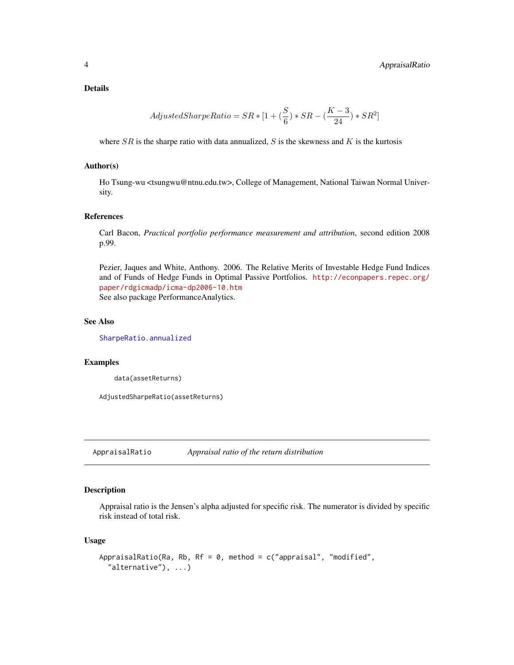<span id="page-3-0"></span>Details

$$
Adjusted SharpeRatio = SR * [1 + (\frac{S}{6}) * SR - (\frac{K-3}{24}) * SR^2]
$$

where  $SR$  is the sharpe ratio with data annualized,  $S$  is the skewness and  $K$  is the kurtosis

#### Author(s)

Ho Tsung-wu <tsungwu@ntnu.edu.tw>, College of Management, National Taiwan Normal University.

# References

Carl Bacon, *Practical portfolio performance measurement and attribution*, second edition 2008 p.99.

Pezier, Jaques and White, Anthony. 2006. The Relative Merits of Investable Hedge Fund Indices and of Funds of Hedge Funds in Optimal Passive Portfolios. [http://econpapers.repec.org/](http://econpapers.repec.org/paper/rdgicmadp/icma-dp2006-10.htm) [paper/rdgicmadp/icma-dp2006-10.htm](http://econpapers.repec.org/paper/rdgicmadp/icma-dp2006-10.htm) See also package PerformanceAnalytics.

#### See Also

[SharpeRatio.annualized](#page-27-1)

#### Examples

data(assetReturns)

AdjustedSharpeRatio(assetReturns)

AppraisalRatio *Appraisal ratio of the return distribution*

#### Description

Appraisal ratio is the Jensen's alpha adjusted for specific risk. The numerator is divided by specific risk instead of total risk.

#### Usage

```
AppraisalRatio(Ra, Rb, Rf = 0, method = c("appraisal", "modified","alternative"), ...)
```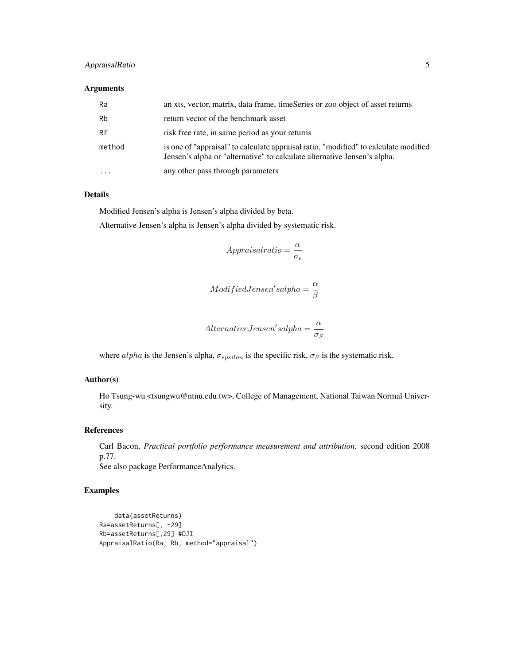# AppraisalRatio 5

#### Arguments

| Ra     | an xts, vector, matrix, data frame, timeSeries or zoo object of asset returns                                                                                    |
|--------|------------------------------------------------------------------------------------------------------------------------------------------------------------------|
| Rb     | return vector of the benchmark asset                                                                                                                             |
| Rf     | risk free rate, in same period as your returns                                                                                                                   |
| method | is one of "appraisal" to calculate appraisal ratio, "modified" to calculate modified<br>Jensen's alpha or "alternative" to calculate alternative Jensen's alpha. |
|        | any other pass through parameters                                                                                                                                |

#### Details

Modified Jensen's alpha is Jensen's alpha divided by beta.

Alternative Jensen's alpha is Jensen's alpha divided by systematic risk.

$$
Approxal ratio = \frac{\alpha}{\sigma_{\epsilon}}
$$

$$
Modified Jensen's alpha = \frac{\alpha}{\beta}
$$

$$
AlternativeJensen's alpha = \frac{\alpha}{\sigma_S}
$$

where  $alpha$  is the Jensen's alpha,  $\sigma_{epsilon}$  is the specific risk,  $\sigma_S$  is the systematic risk.

# Author(s)

Ho Tsung-wu <tsungwu@ntnu.edu.tw>, College of Management, National Taiwan Normal University.

# References

Carl Bacon, *Practical portfolio performance measurement and attribution*, second edition 2008 p.77. See also package PerformanceAnalytics.

# Examples

```
data(assetReturns)
Ra=assetReturns[, -29]
Rb=assetReturns[,29] #DJI
AppraisalRatio(Ra, Rb, method="appraisal")
```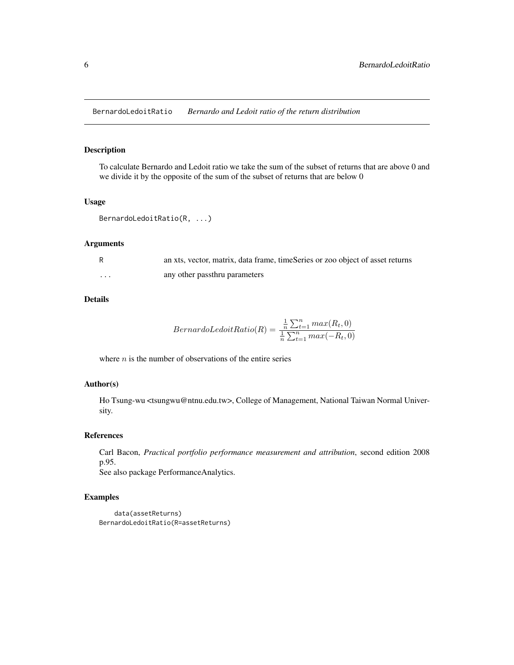<span id="page-5-0"></span>BernardoLedoitRatio *Bernardo and Ledoit ratio of the return distribution*

# Description

To calculate Bernardo and Ledoit ratio we take the sum of the subset of returns that are above 0 and we divide it by the opposite of the sum of the subset of returns that are below 0

#### Usage

```
BernardoLedoitRatio(R, ...)
```
#### Arguments

|                   | an xts, vector, matrix, data frame, timeSeries or zoo object of asset returns |
|-------------------|-------------------------------------------------------------------------------|
| $\cdot\cdot\cdot$ | any other passthru parameters                                                 |

# Details

$$
Bernardo LedoitRatio(R) = \frac{\frac{1}{n} \sum_{t=1}^{n} max(R_t, 0)}{\frac{1}{n} \sum_{t=1}^{n} max(-R_t, 0)}
$$

where  $n$  is the number of observations of the entire series

# Author(s)

Ho Tsung-wu <tsungwu@ntnu.edu.tw>, College of Management, National Taiwan Normal University.

#### References

Carl Bacon, *Practical portfolio performance measurement and attribution*, second edition 2008 p.95.

See also package PerformanceAnalytics.

# Examples

```
data(assetReturns)
BernardoLedoitRatio(R=assetReturns)
```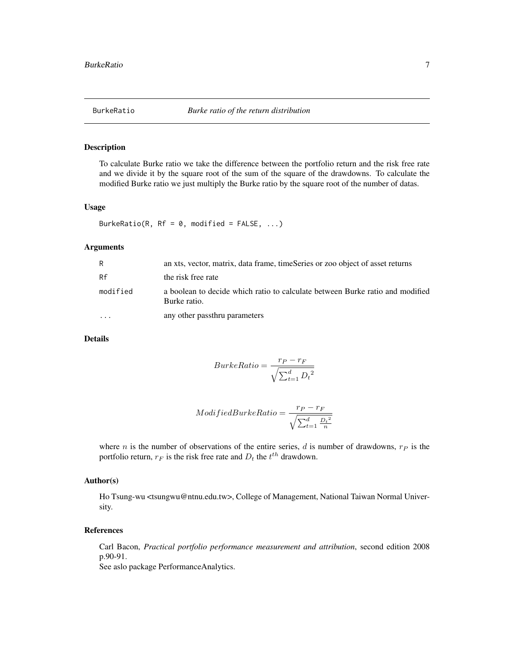<span id="page-6-0"></span>

# Description

To calculate Burke ratio we take the difference between the portfolio return and the risk free rate and we divide it by the square root of the sum of the square of the drawdowns. To calculate the modified Burke ratio we just multiply the Burke ratio by the square root of the number of datas.

# Usage

BurkeRatio(R, Rf =  $\theta$ , modified = FALSE, ...)

#### Arguments

| R        | an xts, vector, matrix, data frame, timeSeries or zoo object of asset returns                 |
|----------|-----------------------------------------------------------------------------------------------|
| Rf       | the risk free rate                                                                            |
| modified | a boolean to decide which ratio to calculate between Burke ratio and modified<br>Burke ratio. |
| $\cdot$  | any other passthru parameters                                                                 |

# Details

$$
BurkeRatio = \frac{r_P - r_F}{\sqrt{\sum_{t=1}^{d} D_t^2}}
$$

$$
ModifiedBurkeRatio = \frac{r_P - r_F}{\sqrt{\sum_{t=1}^d \frac{D_t^2}{n}}}
$$

where *n* is the number of observations of the entire series,  $d$  is number of drawdowns,  $r_P$  is the portfolio return,  $r_F$  is the risk free rate and  $D_t$  the  $t^{th}$  drawdown.

#### Author(s)

Ho Tsung-wu <tsungwu@ntnu.edu.tw>, College of Management, National Taiwan Normal University.

# References

Carl Bacon, *Practical portfolio performance measurement and attribution*, second edition 2008 p.90-91.

See aslo package PerformanceAnalytics.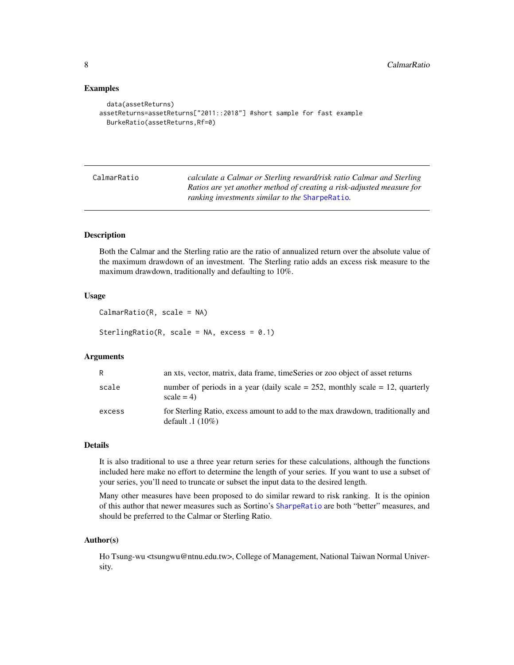#### Examples

```
data(assetReturns)
assetReturns=assetReturns["2011::2018"] #short sample for fast example
 BurkeRatio(assetReturns,Rf=0)
```

| CalmarRatio | calculate a Calmar or Sterling reward/risk ratio Calmar and Sterling  |
|-------------|-----------------------------------------------------------------------|
|             | Ratios are yet another method of creating a risk-adjusted measure for |
|             | <i>ranking investments similar to the SharpeRatio.</i>                |

# Description

Both the Calmar and the Sterling ratio are the ratio of annualized return over the absolute value of the maximum drawdown of an investment. The Sterling ratio adds an excess risk measure to the maximum drawdown, traditionally and defaulting to 10%.

# Usage

```
CalmarRatio(R, scale = NA)
```
SterlingRatio(R, scale = NA, excess =  $0.1$ )

#### Arguments

| R      | an xts, vector, matrix, data frame, timeSeries or zoo object of asset returns                         |
|--------|-------------------------------------------------------------------------------------------------------|
| scale  | number of periods in a year (daily scale = $252$ , monthly scale = 12, quarterly<br>$scale = 4$       |
| excess | for Sterling Ratio, excess amount to add to the max drawdown, traditionally and<br>default $.1(10\%)$ |

#### Details

It is also traditional to use a three year return series for these calculations, although the functions included here make no effort to determine the length of your series. If you want to use a subset of your series, you'll need to truncate or subset the input data to the desired length.

Many other measures have been proposed to do similar reward to risk ranking. It is the opinion of this author that newer measures such as Sortino's [SharpeRatio](#page-25-1) are both "better" measures, and should be preferred to the Calmar or Sterling Ratio.

#### Author(s)

Ho Tsung-wu <tsungwu@ntnu.edu.tw>, College of Management, National Taiwan Normal University.

<span id="page-7-0"></span>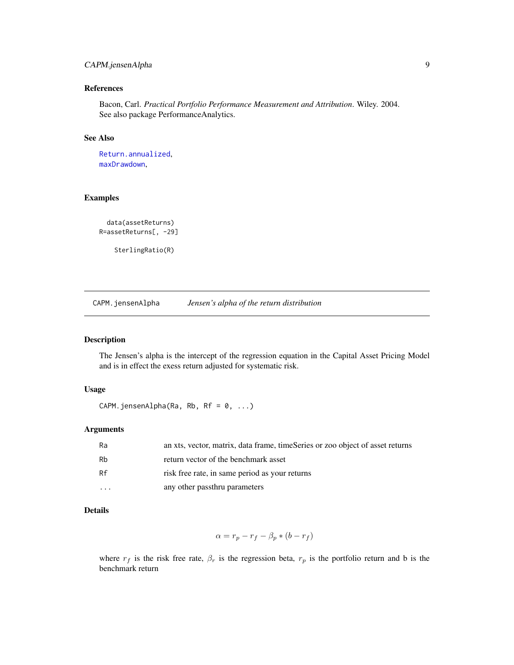# <span id="page-8-0"></span>CAPM.jensenAlpha 9

# References

Bacon, Carl. *Practical Portfolio Performance Measurement and Attribution*. Wiley. 2004. See also package PerformanceAnalytics.

# See Also

[Return.annualized](#page-24-1), [maxDrawdown](#page-18-1),

#### Examples

```
data(assetReturns)
R=assetReturns[, -29]
```
SterlingRatio(R)

CAPM.jensenAlpha *Jensen's alpha of the return distribution*

# Description

The Jensen's alpha is the intercept of the regression equation in the Capital Asset Pricing Model and is in effect the exess return adjusted for systematic risk.

#### Usage

CAPM.jensenAlpha(Ra, Rb, Rf =  $0, ...$ )

# Arguments

| Ra | an xts, vector, matrix, data frame, timeSeries or zoo object of asset returns |
|----|-------------------------------------------------------------------------------|
| Rb | return vector of the benchmark asset                                          |
| Rf | risk free rate, in same period as your returns                                |
| .  | any other passthru parameters                                                 |

# Details

$$
\alpha = r_p - r_f - \beta_p * (b - r_f)
$$

where  $r_f$  is the risk free rate,  $\beta_r$  is the regression beta,  $r_p$  is the portfolio return and b is the benchmark return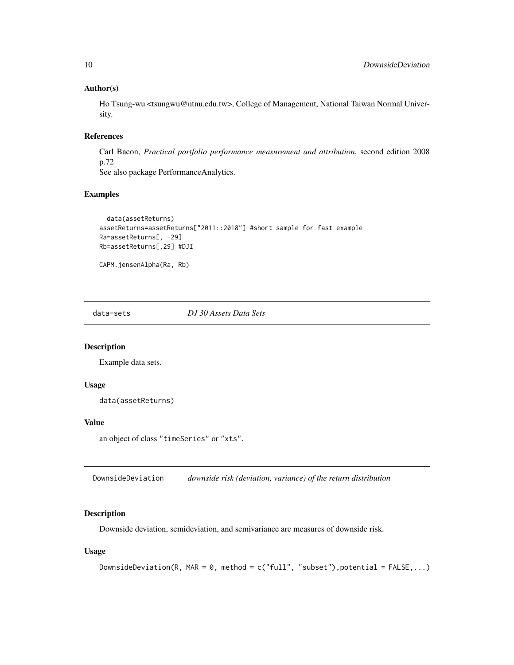#### Author(s)

Ho Tsung-wu <tsungwu@ntnu.edu.tw>, College of Management, National Taiwan Normal University.

# References

Carl Bacon, *Practical portfolio performance measurement and attribution*, second edition 2008 p.72

See also package PerformanceAnalytics.

# Examples

```
data(assetReturns)
assetReturns=assetReturns["2011::2018"] #short sample for fast example
Ra=assetReturns[, -29]
Rb=assetReturns[,29] #DJI
```
CAPM.jensenAlpha(Ra, Rb)

data-sets *DJ 30 Assets Data Sets*

# Description

Example data sets.

#### Usage

data(assetReturns)

#### Value

```
an object of class "timeSeries" or "xts".
```
<span id="page-9-1"></span>DownsideDeviation *downside risk (deviation, variance) of the return distribution*

# Description

Downside deviation, semideviation, and semivariance are measures of downside risk.

#### Usage

```
DownsideDeviation(R, MAR = 0, method = c("full", "subset"), potential = FALSE,...)
```
<span id="page-9-0"></span>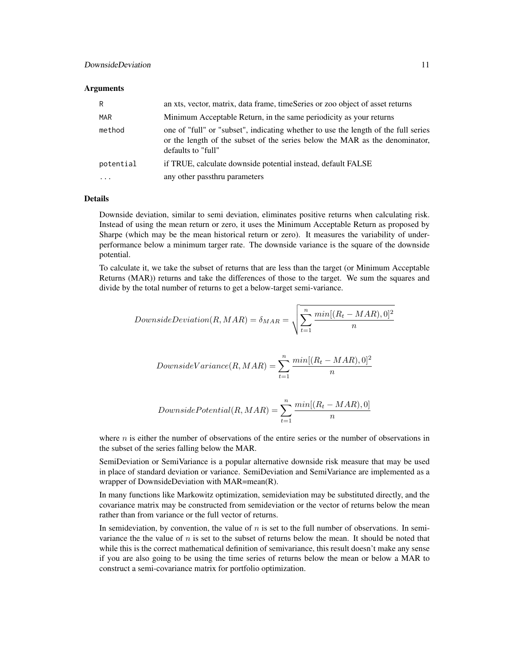#### **Arguments**

| R          | an xts, vector, matrix, data frame, timeSeries or zoo object of asset returns                                                                                                           |
|------------|-----------------------------------------------------------------------------------------------------------------------------------------------------------------------------------------|
| <b>MAR</b> | Minimum Acceptable Return, in the same periodicity as your returns                                                                                                                      |
| method     | one of "full" or "subset", indicating whether to use the length of the full series<br>or the length of the subset of the series below the MAR as the denominator,<br>defaults to "full" |
| potential  | if TRUE, calculate downside potential instead, default FALSE                                                                                                                            |
| $\cdots$   | any other passthru parameters                                                                                                                                                           |

# Details

Downside deviation, similar to semi deviation, eliminates positive returns when calculating risk. Instead of using the mean return or zero, it uses the Minimum Acceptable Return as proposed by Sharpe (which may be the mean historical return or zero). It measures the variability of underperformance below a minimum targer rate. The downside variance is the square of the downside potential.

To calculate it, we take the subset of returns that are less than the target (or Minimum Acceptable Returns (MAR)) returns and take the differences of those to the target. We sum the squares and divide by the total number of returns to get a below-target semi-variance.

$$
DownsideDeviation(R, MAR) = \delta_{MAR} = \sqrt{\sum_{t=1}^{n} \frac{min[(R_t - MAR), 0]^2}{n}}
$$

Downside
$$
DownsideVariance(R, MAR) = \sum_{t=1}^{n} \frac{min[(R_t - MAR), 0]^2}{n}
$$

$$
DownsidePotential(R, MAR) = \sum_{t=1}^{n} \frac{min[(R_t - MAR), 0]}{n}
$$

where  $n$  is either the number of observations of the entire series or the number of observations in the subset of the series falling below the MAR.

SemiDeviation or SemiVariance is a popular alternative downside risk measure that may be used in place of standard deviation or variance. SemiDeviation and SemiVariance are implemented as a wrapper of DownsideDeviation with MAR=mean(R).

In many functions like Markowitz optimization, semideviation may be substituted directly, and the covariance matrix may be constructed from semideviation or the vector of returns below the mean rather than from variance or the full vector of returns.

In semideviation, by convention, the value of n is set to the full number of observations. In semivariance the the value of  $n$  is set to the subset of returns below the mean. It should be noted that while this is the correct mathematical definition of semivariance, this result doesn't make any sense if you are also going to be using the time series of returns below the mean or below a MAR to construct a semi-covariance matrix for portfolio optimization.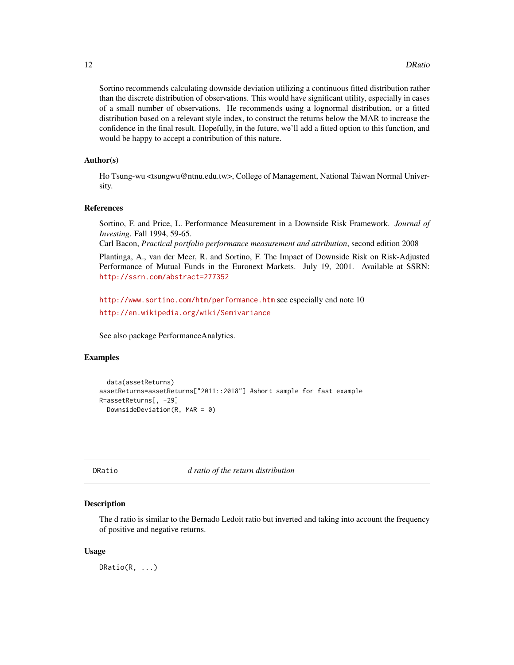<span id="page-11-0"></span>Sortino recommends calculating downside deviation utilizing a continuous fitted distribution rather than the discrete distribution of observations. This would have significant utility, especially in cases of a small number of observations. He recommends using a lognormal distribution, or a fitted distribution based on a relevant style index, to construct the returns below the MAR to increase the confidence in the final result. Hopefully, in the future, we'll add a fitted option to this function, and would be happy to accept a contribution of this nature.

# Author(s)

Ho Tsung-wu <tsungwu@ntnu.edu.tw>, College of Management, National Taiwan Normal University.

#### References

Sortino, F. and Price, L. Performance Measurement in a Downside Risk Framework. *Journal of Investing*. Fall 1994, 59-65.

Carl Bacon, *Practical portfolio performance measurement and attribution*, second edition 2008

Plantinga, A., van der Meer, R. and Sortino, F. The Impact of Downside Risk on Risk-Adjusted Performance of Mutual Funds in the Euronext Markets. July 19, 2001. Available at SSRN: <http://ssrn.com/abstract=277352>

<http://www.sortino.com/htm/performance.htm> see especially end note 10 <http://en.wikipedia.org/wiki/Semivariance>

See also package PerformanceAnalytics.

# Examples

```
data(assetReturns)
assetReturns=assetReturns["2011::2018"] #short sample for fast example
R=assetReturns[, -29]
 DownsideDeviation(R, MAR = 0)
```
DRatio *d ratio of the return distribution*

# Description

The d ratio is similar to the Bernado Ledoit ratio but inverted and taking into account the frequency of positive and negative returns.

#### Usage

DRatio(R, ...)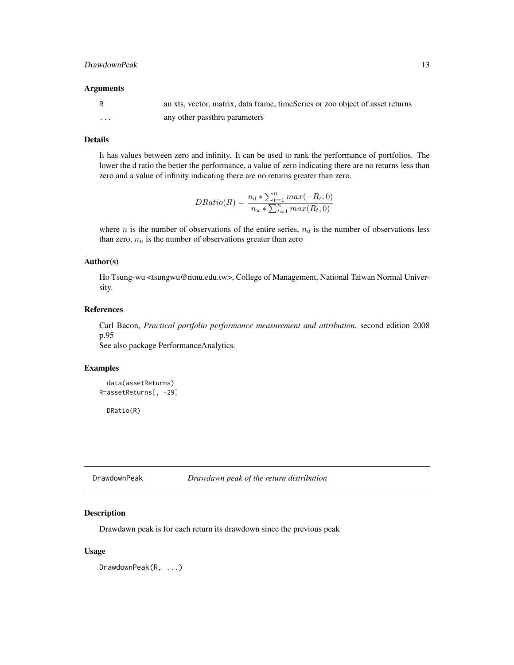#### <span id="page-12-0"></span>DrawdownPeak 13

#### Arguments

|          | an xts, vector, matrix, data frame, timeSeries or zoo object of asset returns |
|----------|-------------------------------------------------------------------------------|
| $\cdots$ | any other passthru parameters                                                 |

#### Details

It has values between zero and infinity. It can be used to rank the performance of portfolios. The lower the d ratio the better the performance, a value of zero indicating there are no returns less than zero and a value of infinity indicating there are no returns greater than zero.

$$
DRatio(R) = \frac{n_d * \sum_{t=1}^{n} max(-R_t, 0)}{n_u * \sum_{t=1}^{n} max(R_t, 0)}
$$

where n is the number of observations of the entire series,  $n_d$  is the number of observations less than zero,  $n_u$  is the number of observations greater than zero

#### Author(s)

Ho Tsung-wu <tsungwu@ntnu.edu.tw>, College of Management, National Taiwan Normal University.

# References

Carl Bacon, *Practical portfolio performance measurement and attribution*, second edition 2008 p.95

See also package PerformanceAnalytics.

#### Examples

```
data(assetReturns)
R=assetReturns[, -29]
```
DRatio(R)

DrawdownPeak *Drawdawn peak of the return distribution*

# Description

Drawdawn peak is for each return its drawdown since the previous peak

#### Usage

DrawdownPeak(R, ...)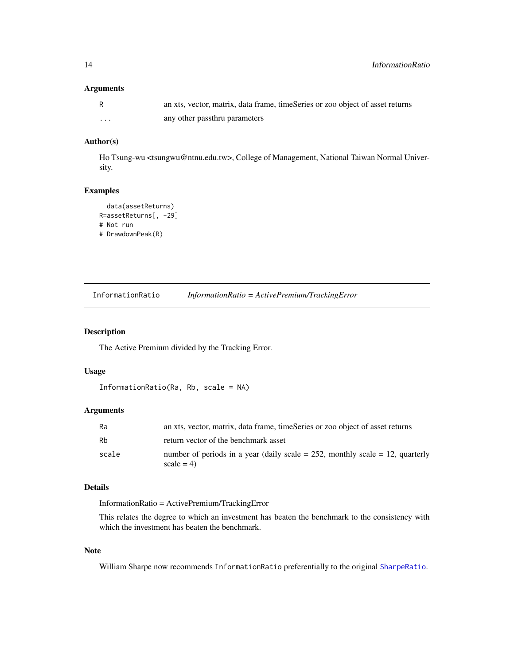# <span id="page-13-0"></span>Arguments

|   | an xts, vector, matrix, data frame, timeSeries or zoo object of asset returns |
|---|-------------------------------------------------------------------------------|
| . | any other passthru parameters                                                 |

# Author(s)

Ho Tsung-wu <tsungwu@ntnu.edu.tw>, College of Management, National Taiwan Normal University.

# Examples

```
data(assetReturns)
R=assetReturns[, -29]
# Not run
# DrawdownPeak(R)
```
<span id="page-13-1"></span>InformationRatio *InformationRatio = ActivePremium/TrackingError*

# Description

The Active Premium divided by the Tracking Error.

# Usage

```
InformationRatio(Ra, Rb, scale = NA)
```
# Arguments

| Ra    | an xts, vector, matrix, data frame, timeSeries or zoo object of asset returns                      |
|-------|----------------------------------------------------------------------------------------------------|
| Rb    | return vector of the benchmark asset                                                               |
| scale | number of periods in a year (daily scale $= 252$ , monthly scale $= 12$ , quarterly<br>$scale = 4$ |

# Details

InformationRatio = ActivePremium/TrackingError

This relates the degree to which an investment has beaten the benchmark to the consistency with which the investment has beaten the benchmark.

# Note

William Sharpe now recommends InformationRatio preferentially to the original [SharpeRatio](#page-25-1).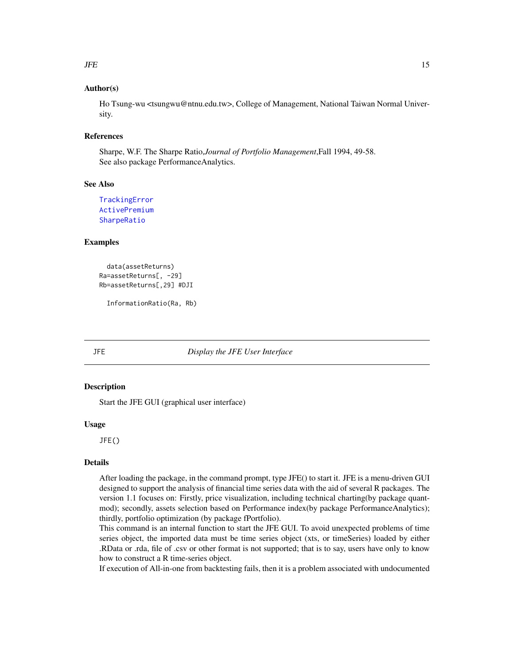#### <span id="page-14-0"></span> $JFE$  15

# Author(s)

Ho Tsung-wu <tsungwu@ntnu.edu.tw>, College of Management, National Taiwan Normal University.

#### References

Sharpe, W.F. The Sharpe Ratio,*Journal of Portfolio Management*,Fall 1994, 49-58. See also package PerformanceAnalytics.

# See Also

```
TrackingError
ActivePremium
SharpeRatio
```
#### Examples

```
data(assetReturns)
Ra=assetReturns[, -29]
Rb=assetReturns[,29] #DJI
```
InformationRatio(Ra, Rb)

#### JFE *Display the JFE User Interface*

#### Description

Start the JFE GUI (graphical user interface)

# Usage

JFE()

# Details

After loading the package, in the command prompt, type JFE() to start it. JFE is a menu-driven GUI designed to support the analysis of financial time series data with the aid of several R packages. The version 1.1 focuses on: Firstly, price visualization, including technical charting(by package quantmod); secondly, assets selection based on Performance index(by package PerformanceAnalytics); thirdly, portfolio optimization (by package fPortfolio).

This command is an internal function to start the JFE GUI. To avoid unexpected problems of time series object, the imported data must be time series object (xts, or timeSeries) loaded by either .RData or .rda, file of .csv or other format is not supported; that is to say, users have only to know how to construct a R time-series object.

If execution of All-in-one from backtesting fails, then it is a problem associated with undocumented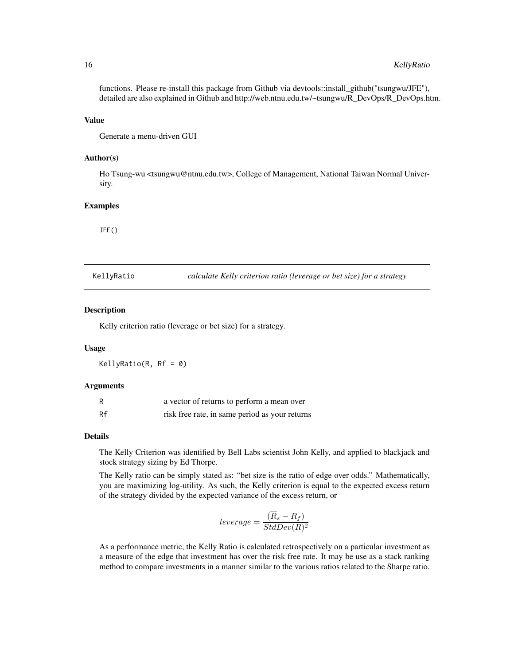functions. Please re-install this package from Github via devtools::install\_github("tsungwu/JFE"), detailed are also explained in Github and http://web.ntnu.edu.tw/~tsungwu/R\_DevOps/R\_DevOps.htm.

#### Value

Generate a menu-driven GUI

#### Author(s)

Ho Tsung-wu <tsungwu@ntnu.edu.tw>, College of Management, National Taiwan Normal University.

#### Examples

JFE()

KellyRatio *calculate Kelly criterion ratio (leverage or bet size) for a strategy*

#### **Description**

Kelly criterion ratio (leverage or bet size) for a strategy.

#### Usage

KellyRatio(R, Rf = 0)

#### Arguments

| R  | a vector of returns to perform a mean over     |
|----|------------------------------------------------|
| Rf | risk free rate, in same period as your returns |

#### Details

The Kelly Criterion was identified by Bell Labs scientist John Kelly, and applied to blackjack and stock strategy sizing by Ed Thorpe.

The Kelly ratio can be simply stated as: "bet size is the ratio of edge over odds." Mathematically, you are maximizing log-utility. As such, the Kelly criterion is equal to the expected excess return of the strategy divided by the expected variance of the excess return, or

$$
leverage = \frac{(\overline{R}_s - R_f)}{StdDev(R)^2}
$$

As a performance metric, the Kelly Ratio is calculated retrospectively on a particular investment as a measure of the edge that investment has over the risk free rate. It may be use as a stack ranking method to compare investments in a manner similar to the various ratios related to the Sharpe ratio.

<span id="page-15-0"></span>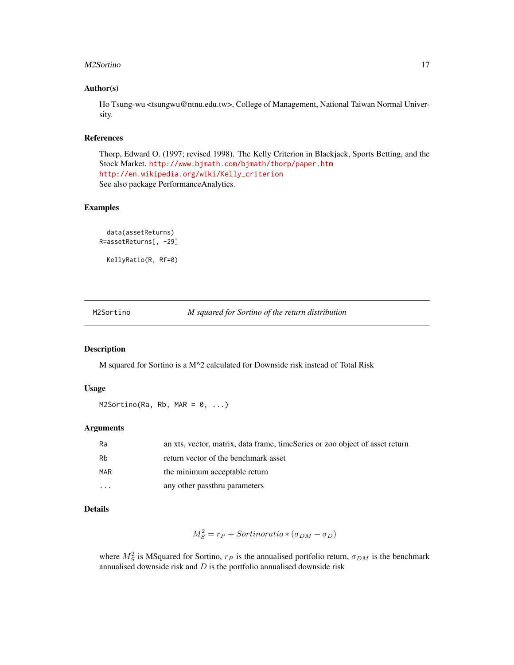#### <span id="page-16-0"></span>M2Sortino and the state of the state of the state of the state of the state of the state of the state of the state of the state of the state of the state of the state of the state of the state of the state of the state of

#### Author(s)

Ho Tsung-wu <tsungwu@ntnu.edu.tw>, College of Management, National Taiwan Normal University.

# References

Thorp, Edward O. (1997; revised 1998). The Kelly Criterion in Blackjack, Sports Betting, and the Stock Market. <http://www.bjmath.com/bjmath/thorp/paper.htm> [http://en.wikipedia.org/wiki/Kelly\\_criterion](http://en.wikipedia.org/wiki/Kelly_criterion) See also package PerformanceAnalytics.

# Examples

```
data(assetReturns)
R=assetReturns[, -29]
```
KellyRatio(R, Rf=0)

M2Sortino *M squared for Sortino of the return distribution*

#### Description

M squared for Sortino is a M^2 calculated for Downside risk instead of Total Risk

#### Usage

 $M2Sortino(Ra, Rb, MAR = 0, ...)$ 

#### Arguments

| Ra         | an xts, vector, matrix, data frame, timeSeries or zoo object of asset return |
|------------|------------------------------------------------------------------------------|
| Rb         | return vector of the benchmark asset                                         |
| <b>MAR</b> | the minimum acceptable return                                                |
| $\cdots$   | any other passthru parameters                                                |

#### Details

$$
M_S^2 = r_P + Sortinoratio * (\sigma_{DM} - \sigma_D)
$$

where  $M_S^2$  is MSquared for Sortino,  $r_P$  is the annualised portfolio return,  $\sigma_{DM}$  is the benchmark annualised downside risk and  $D$  is the portfolio annualised downside risk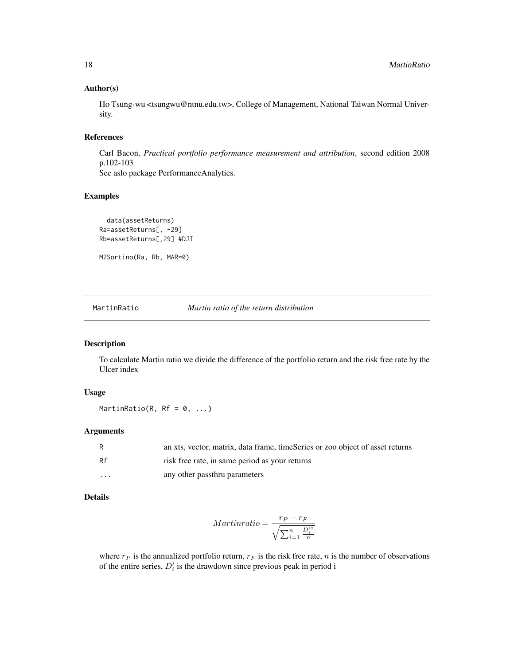### <span id="page-17-0"></span>Author(s)

Ho Tsung-wu <tsungwu@ntnu.edu.tw>, College of Management, National Taiwan Normal University.

#### References

Carl Bacon, *Practical portfolio performance measurement and attribution*, second edition 2008 p.102-103 See aslo package PerformanceAnalytics.

#### Examples

```
data(assetReturns)
Ra=assetReturns[, -29]
Rb=assetReturns[,29] #DJI
```
M2Sortino(Ra, Rb, MAR=0)

MartinRatio *Martin ratio of the return distribution*

# Description

To calculate Martin ratio we divide the difference of the portfolio return and the risk free rate by the Ulcer index

# Usage

MartinRatio(R, Rf =  $0, ...$ )

#### Arguments

| R                       | an xts, vector, matrix, data frame, timeSeries or zoo object of asset returns |
|-------------------------|-------------------------------------------------------------------------------|
| Rf                      | risk free rate, in same period as your returns                                |
| $\cdot$ $\cdot$ $\cdot$ | any other passthru parameters                                                 |

# Details

$$
Martin ratio = \frac{r_P - r_F}{\sqrt{\sum_{i=1}^{n} \frac{D_i'^2}{n}}}
$$

where  $r_P$  is the annualized portfolio return,  $r_F$  is the risk free rate, n is the number of observations of the entire series,  $D_i$  is the drawdown since previous peak in period i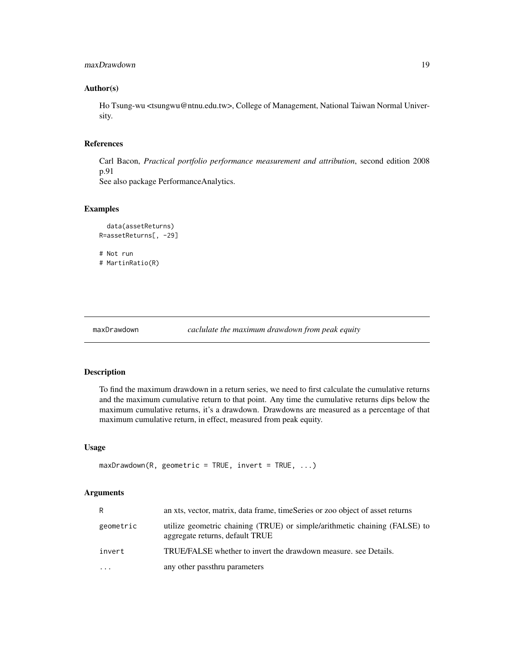# <span id="page-18-0"></span>maxDrawdown 19

# Author(s)

Ho Tsung-wu <tsungwu@ntnu.edu.tw>, College of Management, National Taiwan Normal University.

# References

Carl Bacon, *Practical portfolio performance measurement and attribution*, second edition 2008 p.91 See also package PerformanceAnalytics.

# Examples

```
data(assetReturns)
R=assetReturns[, -29]
# Not run
# MartinRatio(R)
```

```
maxDrawdown caclulate the maximum drawdown from peak equity
```
#### Description

To find the maximum drawdown in a return series, we need to first calculate the cumulative returns and the maximum cumulative return to that point. Any time the cumulative returns dips below the maximum cumulative returns, it's a drawdown. Drawdowns are measured as a percentage of that maximum cumulative return, in effect, measured from peak equity.

# Usage

```
maxDrawdown(R, geometric = TRUE, invert = TRUE, ...)
```

| R.        | an xts, vector, matrix, data frame, timeSeries or zoo object of asset returns                                 |
|-----------|---------------------------------------------------------------------------------------------------------------|
| geometric | utilize geometric chaining (TRUE) or simple/arithmetic chaining (FALSE) to<br>aggregate returns, default TRUE |
| invert    | TRUE/FALSE whether to invert the drawdown measure, see Details.                                               |
| $\ddotsc$ | any other passthru parameters                                                                                 |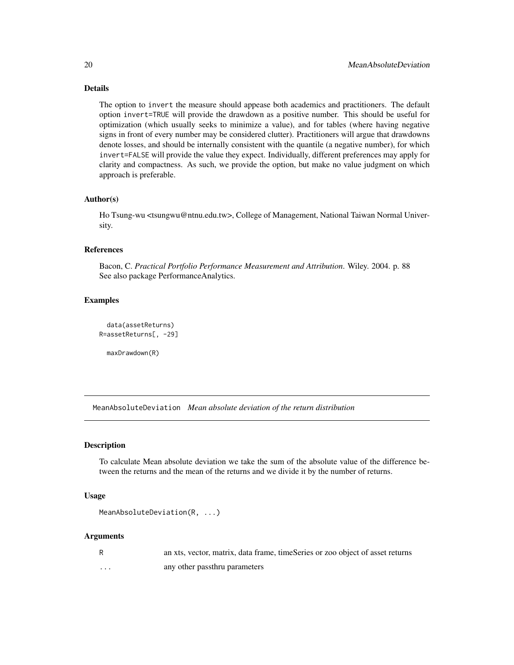# Details

The option to invert the measure should appease both academics and practitioners. The default option invert=TRUE will provide the drawdown as a positive number. This should be useful for optimization (which usually seeks to minimize a value), and for tables (where having negative signs in front of every number may be considered clutter). Practitioners will argue that drawdowns denote losses, and should be internally consistent with the quantile (a negative number), for which invert=FALSE will provide the value they expect. Individually, different preferences may apply for clarity and compactness. As such, we provide the option, but make no value judgment on which approach is preferable.

# Author(s)

Ho Tsung-wu <tsungwu@ntnu.edu.tw>, College of Management, National Taiwan Normal University.

# References

Bacon, C. *Practical Portfolio Performance Measurement and Attribution*. Wiley. 2004. p. 88 See also package PerformanceAnalytics.

# Examples

```
data(assetReturns)
R=assetReturns[, -29]
```
maxDrawdown(R)

MeanAbsoluteDeviation *Mean absolute deviation of the return distribution*

#### Description

To calculate Mean absolute deviation we take the sum of the absolute value of the difference between the returns and the mean of the returns and we divide it by the number of returns.

# Usage

```
MeanAbsoluteDeviation(R, ...)
```
- R an xts, vector, matrix, data frame, timeSeries or zoo object of asset returns
- ... any other passthru parameters

<span id="page-19-0"></span>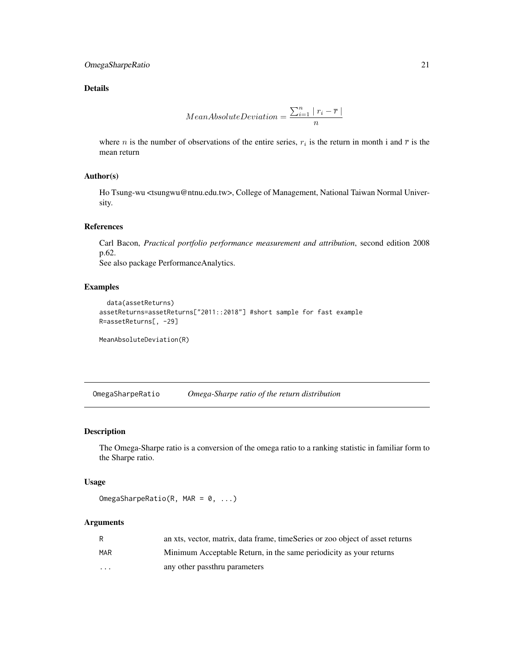# <span id="page-20-0"></span>OmegaSharpeRatio 21

# Details

$$
MeanAbsolute Deviation = \frac{\sum_{i=1}^{n} |r_i - \overline{r}|}{n}
$$

where *n* is the number of observations of the entire series,  $r_i$  is the return in month i and  $\bar{r}$  is the mean return

# Author(s)

Ho Tsung-wu <tsungwu@ntnu.edu.tw>, College of Management, National Taiwan Normal University.

# References

Carl Bacon, *Practical portfolio performance measurement and attribution*, second edition 2008 p.62.

See also package PerformanceAnalytics.

# Examples

```
data(assetReturns)
assetReturns=assetReturns["2011::2018"] #short sample for fast example
R=assetReturns[, -29]
```
MeanAbsoluteDeviation(R)

OmegaSharpeRatio *Omega-Sharpe ratio of the return distribution*

# Description

The Omega-Sharpe ratio is a conversion of the omega ratio to a ranking statistic in familiar form to the Sharpe ratio.

#### Usage

OmegaSharpeRatio(R, MAR =  $0, ...$ )

|                         | an xts, vector, matrix, data frame, timeSeries or zoo object of asset returns |
|-------------------------|-------------------------------------------------------------------------------|
| MAR                     | Minimum Acceptable Return, in the same periodicity as your returns            |
| $\cdot$ $\cdot$ $\cdot$ | any other passthru parameters                                                 |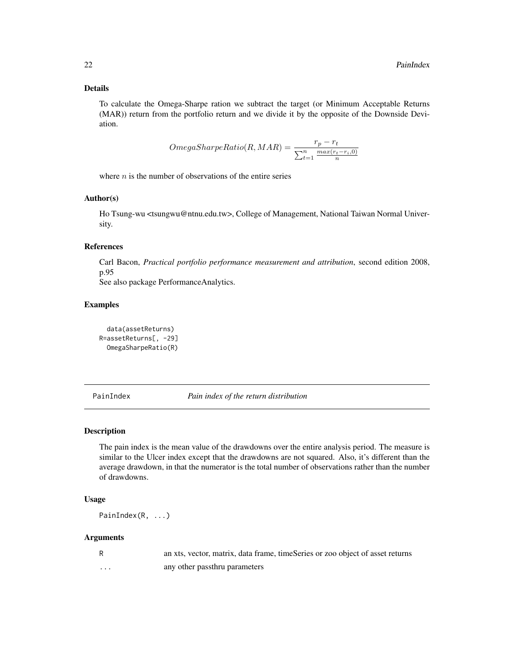# <span id="page-21-0"></span>Details

To calculate the Omega-Sharpe ration we subtract the target (or Minimum Acceptable Returns (MAR)) return from the portfolio return and we divide it by the opposite of the Downside Deviation.

$$
OmegaShapeRatio(R, MAR) = \frac{r_p - r_t}{\sum_{t=1}^n \frac{max(r_t - r_i, 0)}{n}}
$$

where  $n$  is the number of observations of the entire series

# Author(s)

Ho Tsung-wu <tsungwu@ntnu.edu.tw>, College of Management, National Taiwan Normal University.

# References

Carl Bacon, *Practical portfolio performance measurement and attribution*, second edition 2008, p.95

See also package PerformanceAnalytics.

# Examples

```
data(assetReturns)
R=assetReturns[, -29]
 OmegaSharpeRatio(R)
```
PainIndex *Pain index of the return distribution*

#### Description

The pain index is the mean value of the drawdowns over the entire analysis period. The measure is similar to the Ulcer index except that the drawdowns are not squared. Also, it's different than the average drawdown, in that the numerator is the total number of observations rather than the number of drawdowns.

# Usage

```
PainIndex(R, ...)
```

|   | an xts, vector, matrix, data frame, timeSeries or zoo object of asset returns |
|---|-------------------------------------------------------------------------------|
| . | any other passthru parameters                                                 |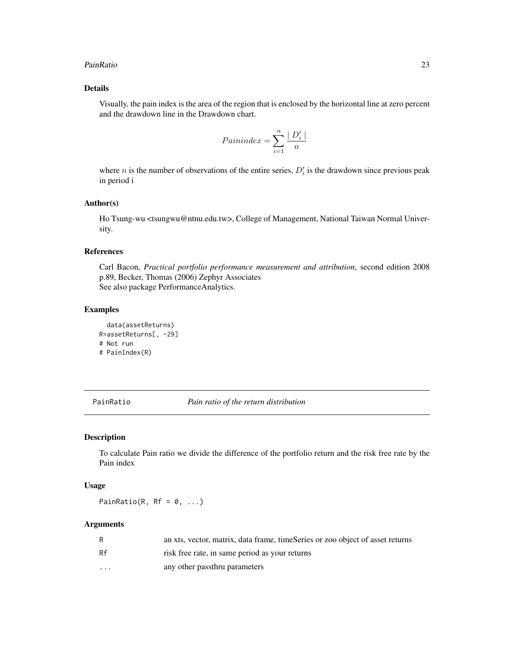#### <span id="page-22-0"></span>PainRatio 23

# Details

Visually, the pain index is the area of the region that is enclosed by the horizontal line at zero percent and the drawdown line in the Drawdown chart.

$$
Painindex = \sum_{i=1}^{n} \frac{|D'_i|}{n}
$$

where *n* is the number of observations of the entire series,  $D_i$  is the drawdown since previous peak in period i

# Author(s)

Ho Tsung-wu <tsungwu@ntnu.edu.tw>, College of Management, National Taiwan Normal University.

# References

Carl Bacon, *Practical portfolio performance measurement and attribution*, second edition 2008 p.89, Becker, Thomas (2006) Zephyr Associates See also package PerformanceAnalytics.

# Examples

```
data(assetReturns)
R=assetReturns[, -29]
# Not run
# PainIndex(R)
```
PainRatio *Pain ratio of the return distribution*

#### Description

To calculate Pain ratio we divide the difference of the portfolio return and the risk free rate by the Pain index

# Usage

PainRatio(R,  $Rf = 0, ...$ )

|                         | an xts, vector, matrix, data frame, timeSeries or zoo object of asset returns |
|-------------------------|-------------------------------------------------------------------------------|
| Rf                      | risk free rate, in same period as your returns                                |
| $\cdot$ $\cdot$ $\cdot$ | any other passthru parameters                                                 |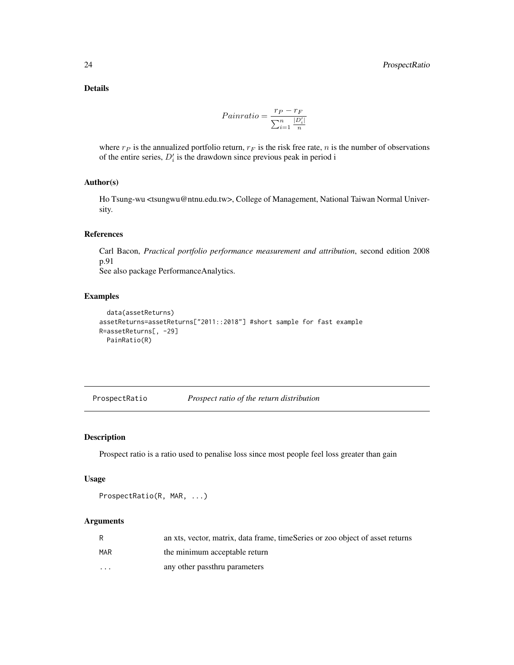<span id="page-23-0"></span>Details

$$
Painratio = \frac{r_P - r_F}{\sum_{i=1}^{n} \frac{|D'_i|}{n}}
$$

where  $r_P$  is the annualized portfolio return,  $r_F$  is the risk free rate, n is the number of observations of the entire series,  $D_i$  is the drawdown since previous peak in period i

# Author(s)

Ho Tsung-wu <tsungwu@ntnu.edu.tw>, College of Management, National Taiwan Normal University.

# References

Carl Bacon, *Practical portfolio performance measurement and attribution*, second edition 2008 p.91

See also package PerformanceAnalytics.

# Examples

```
data(assetReturns)
assetReturns=assetReturns["2011::2018"] #short sample for fast example
R=assetReturns[, -29]
  PainRatio(R)
```
ProspectRatio *Prospect ratio of the return distribution*

#### Description

Prospect ratio is a ratio used to penalise loss since most people feel loss greater than gain

#### Usage

```
ProspectRatio(R, MAR, ...)
```

| R          | an xts, vector, matrix, data frame, timeSeries or zoo object of asset returns |
|------------|-------------------------------------------------------------------------------|
| <b>MAR</b> | the minimum acceptable return                                                 |
| $\cdot$    | any other passthru parameters                                                 |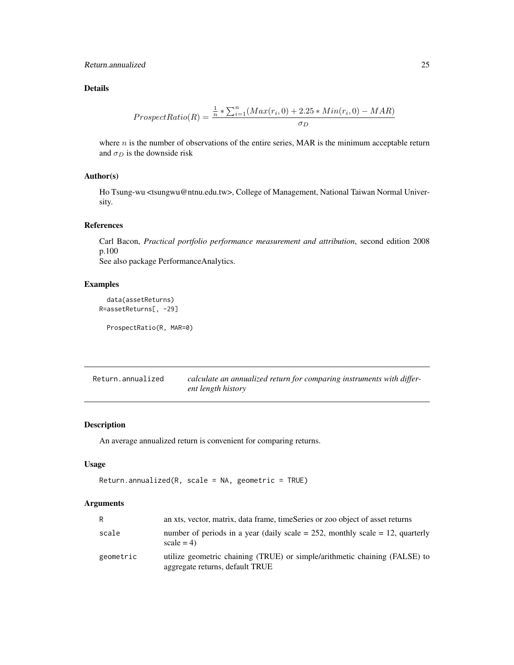# <span id="page-24-0"></span>Return.annualized 25

# Details

$$
ProspectRatio(R) = \frac{\frac{1}{n} * \sum_{i=1}^{n} (Max(r_i, 0) + 2.25 * Min(r_i, 0) - MAR)}{\sigma_D}
$$

where  $n$  is the number of observations of the entire series, MAR is the minimum acceptable return and  $\sigma_D$  is the downside risk

# Author(s)

Ho Tsung-wu <tsungwu@ntnu.edu.tw>, College of Management, National Taiwan Normal University.

#### References

Carl Bacon, *Practical portfolio performance measurement and attribution*, second edition 2008 p.100 See also package PerformanceAnalytics.

# Examples

```
data(assetReturns)
R=assetReturns[, -29]
```
ProspectRatio(R, MAR=0)

<span id="page-24-1"></span>Return.annualized *calculate an annualized return for comparing instruments with different length history*

# Description

An average annualized return is convenient for comparing returns.

# Usage

```
Return.annualized(R, scale = NA, geometric = TRUE)
```

| R         | an xts, vector, matrix, data frame, timeSeries or zoo object of asset returns                                 |
|-----------|---------------------------------------------------------------------------------------------------------------|
| scale     | number of periods in a year (daily scale = $252$ , monthly scale = 12, quarterly<br>$scale = 4$               |
| geometric | utilize geometric chaining (TRUE) or simple/arithmetic chaining (FALSE) to<br>aggregate returns, default TRUE |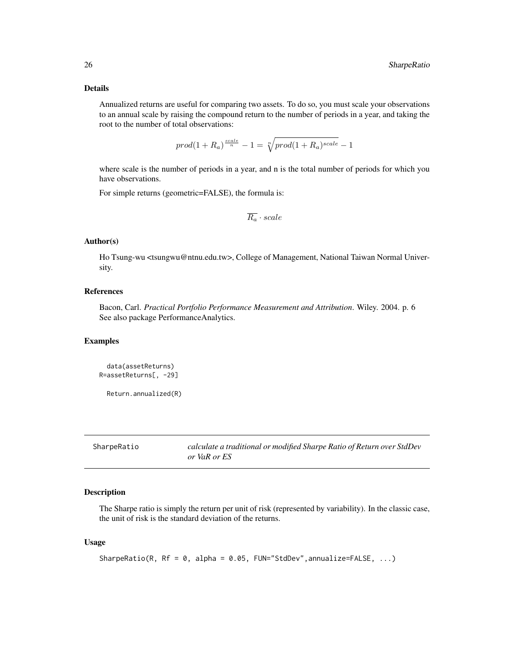#### <span id="page-25-0"></span>Details

Annualized returns are useful for comparing two assets. To do so, you must scale your observations to an annual scale by raising the compound return to the number of periods in a year, and taking the root to the number of total observations:

$$
prod(1 + R_a)^{\frac{scale}{n}} - 1 = \sqrt[n]{prod(1 + R_a)^{scale}} - 1
$$

where scale is the number of periods in a year, and n is the total number of periods for which you have observations.

For simple returns (geometric=FALSE), the formula is:

$$
\overline{R_a} \cdot scale
$$

#### Author(s)

Ho Tsung-wu <tsungwu@ntnu.edu.tw>, College of Management, National Taiwan Normal University.

# References

Bacon, Carl. *Practical Portfolio Performance Measurement and Attribution*. Wiley. 2004. p. 6 See also package PerformanceAnalytics.

#### Examples

```
data(assetReturns)
R=assetReturns[, -29]
```
Return.annualized(R)

<span id="page-25-1"></span>SharpeRatio *calculate a traditional or modified Sharpe Ratio of Return over StdDev or VaR or ES*

# Description

The Sharpe ratio is simply the return per unit of risk (represented by variability). In the classic case, the unit of risk is the standard deviation of the returns.

#### Usage

```
SharpeRatio(R, Rf = 0, alpha = 0.05, FUN="StdDev",annualize=FALSE, ...)
```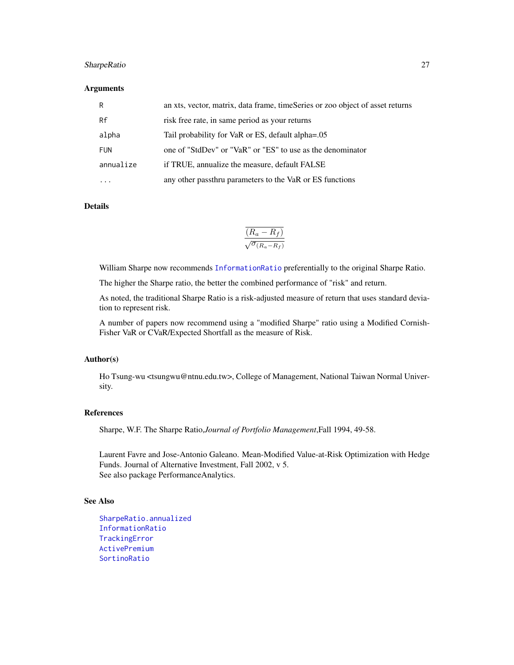# <span id="page-26-0"></span>SharpeRatio 27

#### **Arguments**

| R          | an xts, vector, matrix, data frame, timeSeries or zoo object of asset returns |
|------------|-------------------------------------------------------------------------------|
| Rf         | risk free rate, in same period as your returns                                |
| alpha      | Tail probability for VaR or ES, default alpha=.05                             |
| <b>FUN</b> | one of "StdDev" or "VaR" or "ES" to use as the denominator                    |
| annualize  | if TRUE, annualize the measure, default FALSE                                 |
| .          | any other passthru parameters to the VaR or ES functions                      |

#### Details

$$
\frac{\overline{(R_a - R_f)}}{\sqrt{\sigma_{(R_a - R_f)}}}
$$

William Sharpe now recommends [InformationRatio](#page-13-1) preferentially to the original Sharpe Ratio.

The higher the Sharpe ratio, the better the combined performance of "risk" and return.

As noted, the traditional Sharpe Ratio is a risk-adjusted measure of return that uses standard deviation to represent risk.

A number of papers now recommend using a "modified Sharpe" ratio using a Modified Cornish-Fisher VaR or CVaR/Expected Shortfall as the measure of Risk.

# Author(s)

Ho Tsung-wu <tsungwu@ntnu.edu.tw>, College of Management, National Taiwan Normal University.

# References

Sharpe, W.F. The Sharpe Ratio,*Journal of Portfolio Management*,Fall 1994, 49-58.

Laurent Favre and Jose-Antonio Galeano. Mean-Modified Value-at-Risk Optimization with Hedge Funds. Journal of Alternative Investment, Fall 2002, v 5. See also package PerformanceAnalytics.

#### See Also

[SharpeRatio.annualized](#page-27-1) [InformationRatio](#page-13-1) [TrackingError](#page-31-1) [ActivePremium](#page-1-1) [SortinoRatio](#page-29-1)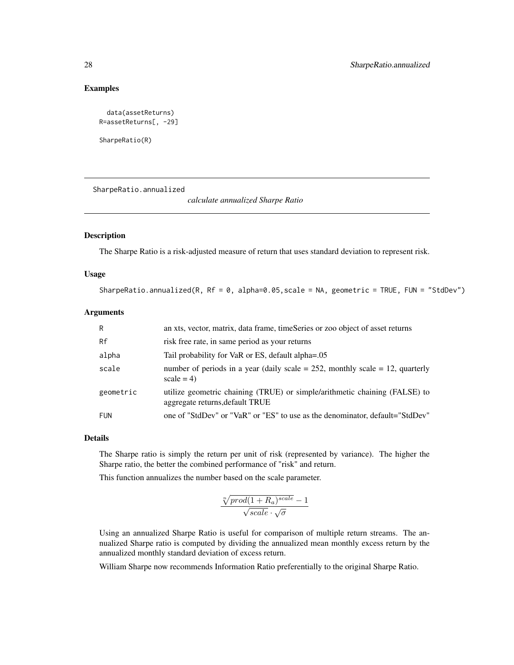# Examples

```
data(assetReturns)
R=assetReturns[, -29]
```
SharpeRatio(R)

<span id="page-27-1"></span>SharpeRatio.annualized

*calculate annualized Sharpe Ratio*

# Description

The Sharpe Ratio is a risk-adjusted measure of return that uses standard deviation to represent risk.

#### Usage

SharpeRatio.annualized(R,  $Rf = 0$ , alpha=0.05, scale = NA, geometric = TRUE, FUN = "StdDev")

#### Arguments

| R         | an xts, vector, matrix, data frame, timeSeries or zoo object of asset returns                                 |
|-----------|---------------------------------------------------------------------------------------------------------------|
| Rf        | risk free rate, in same period as your returns                                                                |
| alpha     | Tail probability for VaR or ES, default alpha=.05                                                             |
| scale     | number of periods in a year (daily scale = $252$ , monthly scale = 12, quarterly<br>$scale = 4$               |
| geometric | utilize geometric chaining (TRUE) or simple/arithmetic chaining (FALSE) to<br>aggregate returns, default TRUE |
| FUN       | one of "StdDev" or "VaR" or "ES" to use as the denominator, default="StdDev"                                  |

#### Details

The Sharpe ratio is simply the return per unit of risk (represented by variance). The higher the Sharpe ratio, the better the combined performance of "risk" and return.

This function annualizes the number based on the scale parameter.

$$
\frac{\sqrt[n]{prod(1 + R_a)^{scale}} - 1}{\sqrt{scale} \cdot \sqrt{\sigma}}
$$

Using an annualized Sharpe Ratio is useful for comparison of multiple return streams. The annualized Sharpe ratio is computed by dividing the annualized mean monthly excess return by the annualized monthly standard deviation of excess return.

William Sharpe now recommends Information Ratio preferentially to the original Sharpe Ratio.

<span id="page-27-0"></span>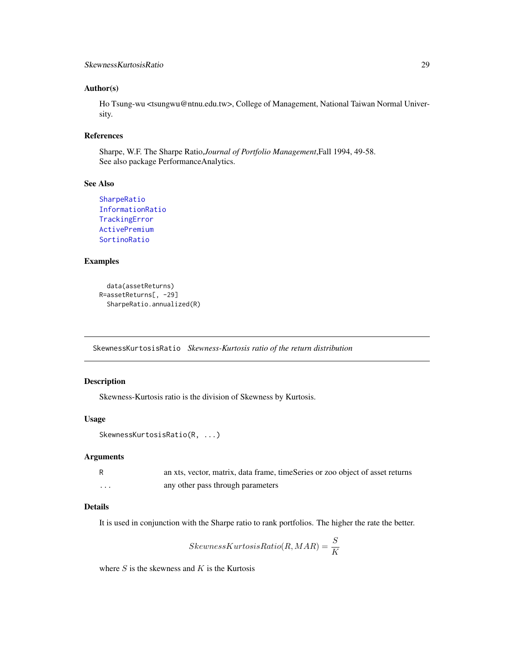#### <span id="page-28-0"></span>Author(s)

Ho Tsung-wu <tsungwu@ntnu.edu.tw>, College of Management, National Taiwan Normal University.

# References

Sharpe, W.F. The Sharpe Ratio,*Journal of Portfolio Management*,Fall 1994, 49-58. See also package PerformanceAnalytics.

# See Also

```
SharpeRatio
InformationRatio
TrackingError
ActivePremium
SortinoRatio
```
# Examples

```
data(assetReturns)
R=assetReturns[, -29]
 SharpeRatio.annualized(R)
```
SkewnessKurtosisRatio *Skewness-Kurtosis ratio of the return distribution*

#### Description

Skewness-Kurtosis ratio is the division of Skewness by Kurtosis.

#### Usage

```
SkewnessKurtosisRatio(R, ...)
```
# Arguments

|   | an xts, vector, matrix, data frame, timeSeries or zoo object of asset returns |
|---|-------------------------------------------------------------------------------|
| . | any other pass through parameters                                             |

#### Details

It is used in conjunction with the Sharpe ratio to rank portfolios. The higher the rate the better.

$$
SkewnessKurtosisRatio(R, MAR) = \frac{S}{K}
$$

where  $S$  is the skewness and  $K$  is the Kurtosis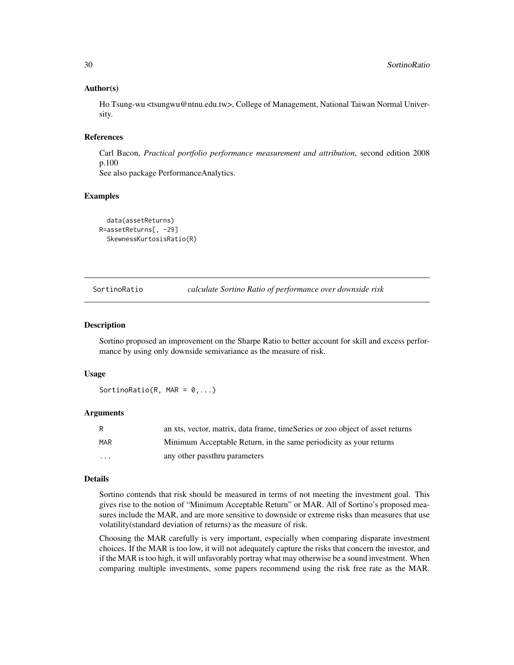#### Author(s)

Ho Tsung-wu <tsungwu@ntnu.edu.tw>, College of Management, National Taiwan Normal University.

### References

Carl Bacon, *Practical portfolio performance measurement and attribution*, second edition 2008 p.100

See also package PerformanceAnalytics.

#### Examples

```
data(assetReturns)
R=assetReturns[, -29]
 SkewnessKurtosisRatio(R)
```
<span id="page-29-1"></span>SortinoRatio *calculate Sortino Ratio of performance over downside risk*

#### Description

Sortino proposed an improvement on the Sharpe Ratio to better account for skill and excess performance by using only downside semivariance as the measure of risk.

### Usage

SortinoRatio(R, MAR =  $0, \ldots$ )

#### Arguments

| R        | an xts, vector, matrix, data frame, timeSeries or zoo object of asset returns |
|----------|-------------------------------------------------------------------------------|
| MAR      | Minimum Acceptable Return, in the same periodicity as your returns            |
| $\cdots$ | any other passthru parameters                                                 |

#### Details

Sortino contends that risk should be measured in terms of not meeting the investment goal. This gives rise to the notion of "Minimum Acceptable Return" or MAR. All of Sortino's proposed measures include the MAR, and are more sensitive to downside or extreme risks than measures that use volatility(standard deviation of returns) as the measure of risk.

Choosing the MAR carefully is very important, especially when comparing disparate investment choices. If the MAR is too low, it will not adequately capture the risks that concern the investor, and if the MAR is too high, it will unfavorably portray what may otherwise be a sound investment. When comparing multiple investments, some papers recommend using the risk free rate as the MAR.

<span id="page-29-0"></span>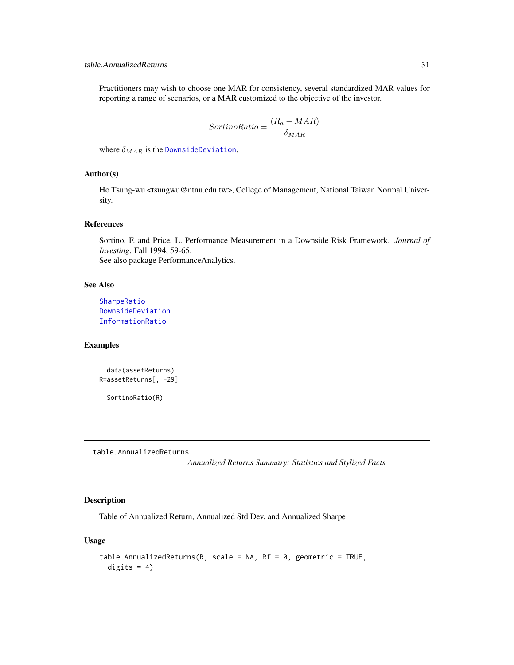<span id="page-30-0"></span>Practitioners may wish to choose one MAR for consistency, several standardized MAR values for reporting a range of scenarios, or a MAR customized to the objective of the investor.

$$
SortinoRatio = \frac{(\overline{R_a - MAR})}{\delta_{MAR}}
$$

where  $\delta_{MAR}$  is the [DownsideDeviation](#page-9-1).

#### Author(s)

Ho Tsung-wu <tsungwu@ntnu.edu.tw>, College of Management, National Taiwan Normal University.

#### References

Sortino, F. and Price, L. Performance Measurement in a Downside Risk Framework. *Journal of Investing*. Fall 1994, 59-65. See also package PerformanceAnalytics.

#### See Also

[SharpeRatio](#page-25-1) [DownsideDeviation](#page-9-1) [InformationRatio](#page-13-1)

#### Examples

```
data(assetReturns)
R=assetReturns[, -29]
```
SortinoRatio(R)

table.AnnualizedReturns

*Annualized Returns Summary: Statistics and Stylized Facts*

# Description

Table of Annualized Return, Annualized Std Dev, and Annualized Sharpe

#### Usage

```
table.AnnualizedReturns(R, scale = NA, Rf = 0, geometric = TRUE,
  digits = 4)
```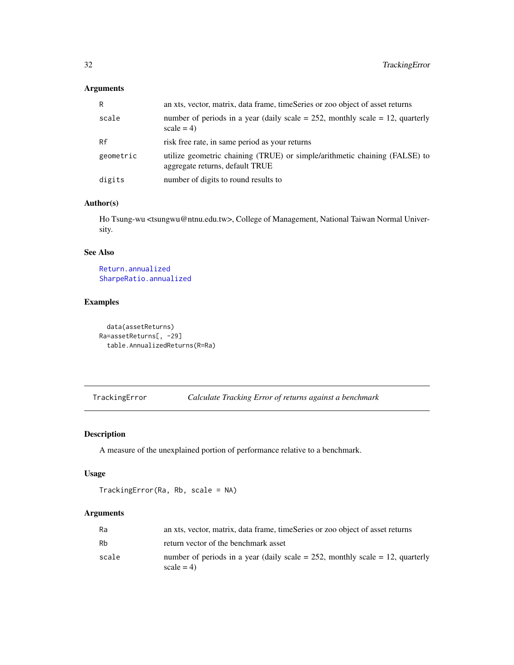# <span id="page-31-0"></span>Arguments

| R         | an xts, vector, matrix, data frame, timeSeries or zoo object of asset returns                                 |
|-----------|---------------------------------------------------------------------------------------------------------------|
| scale     | number of periods in a year (daily scale = $252$ , monthly scale = 12, quarterly<br>$scale = 4$               |
| Rf        | risk free rate, in same period as your returns                                                                |
| geometric | utilize geometric chaining (TRUE) or simple/arithmetic chaining (FALSE) to<br>aggregate returns, default TRUE |
| digits    | number of digits to round results to                                                                          |

# Author(s)

Ho Tsung-wu <tsungwu@ntnu.edu.tw>, College of Management, National Taiwan Normal University.

# See Also

[Return.annualized](#page-24-1) [SharpeRatio.annualized](#page-27-1)

# Examples

data(assetReturns) Ra=assetReturns[, -29] table.AnnualizedReturns(R=Ra)

<span id="page-31-1"></span>TrackingError *Calculate Tracking Error of returns against a benchmark*

# Description

A measure of the unexplained portion of performance relative to a benchmark.

#### Usage

```
TrackingError(Ra, Rb, scale = NA)
```

| Ra    | an xts, vector, matrix, data frame, timeSeries or zoo object of asset returns                |
|-------|----------------------------------------------------------------------------------------------|
| Rb    | return vector of the benchmark asset                                                         |
| scale | number of periods in a year (daily scale = 252, monthly scale = 12, quarterly<br>$scale = 4$ |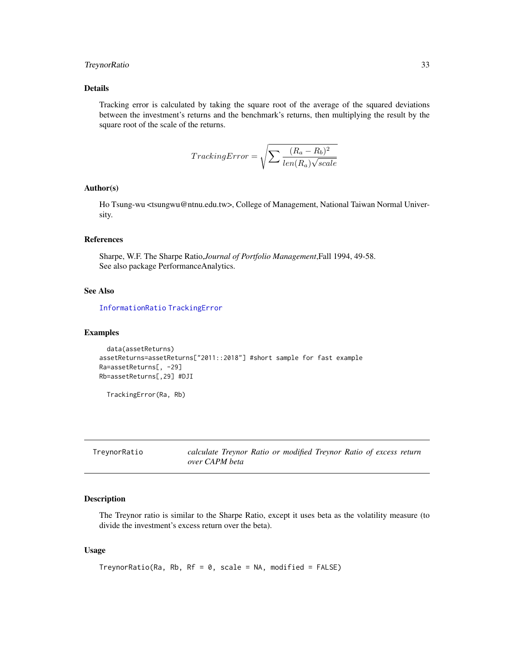# <span id="page-32-0"></span>TreynorRatio 33

### Details

Tracking error is calculated by taking the square root of the average of the squared deviations between the investment's returns and the benchmark's returns, then multiplying the result by the square root of the scale of the returns.

$$
TrackingError = \sqrt{\sum \frac{(R_a - R_b)^2}{len(R_a)\sqrt{scale}}}
$$

#### Author(s)

Ho Tsung-wu <tsungwu@ntnu.edu.tw>, College of Management, National Taiwan Normal University.

# References

Sharpe, W.F. The Sharpe Ratio,*Journal of Portfolio Management*,Fall 1994, 49-58. See also package PerformanceAnalytics.

# See Also

[InformationRatio](#page-13-1) [TrackingError](#page-31-1)

# Examples

```
data(assetReturns)
assetReturns=assetReturns["2011::2018"] #short sample for fast example
Ra=assetReturns[, -29]
Rb=assetReturns[,29] #DJI
```
TrackingError(Ra, Rb)

TreynorRatio *calculate Treynor Ratio or modified Treynor Ratio of excess return over CAPM beta*

# Description

The Treynor ratio is similar to the Sharpe Ratio, except it uses beta as the volatility measure (to divide the investment's excess return over the beta).

# Usage

```
TreynorRatio(Ra, Rb, RF = 0, scale = NA, modified = FALSE)
```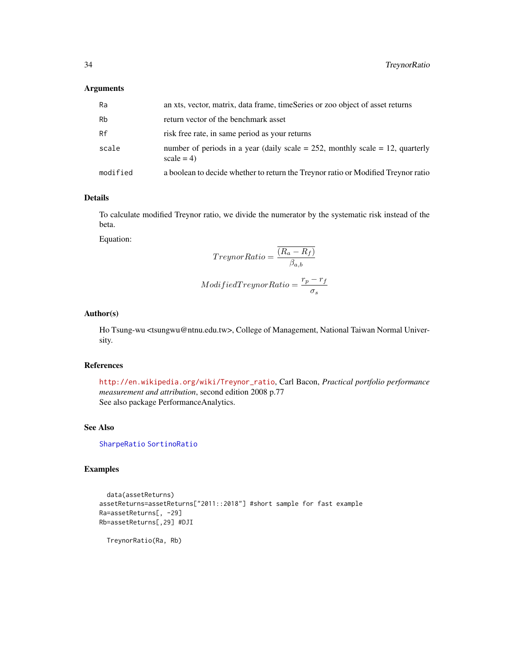#### <span id="page-33-0"></span>Arguments

| Ra       | an xts, vector, matrix, data frame, timeSeries or zoo object of asset returns                   |
|----------|-------------------------------------------------------------------------------------------------|
| Rb       | return vector of the benchmark asset                                                            |
| Rf       | risk free rate, in same period as your returns                                                  |
| scale    | number of periods in a year (daily scale = $252$ , monthly scale = 12, quarterly<br>$scale = 4$ |
| modified | a boolean to decide whether to return the Treynor ratio or Modified Treynor ratio               |

# Details

To calculate modified Treynor ratio, we divide the numerator by the systematic risk instead of the beta.

Equation:

$$
Treynor Ratio = \frac{(R_a - R_f)}{\beta_{a,b}}
$$
  

$$
Modified Treyn or Ratio = \frac{r_p - r_f}{\sigma_s}
$$

# Author(s)

Ho Tsung-wu <tsungwu@ntnu.edu.tw>, College of Management, National Taiwan Normal University.

# References

[http://en.wikipedia.org/wiki/Treynor\\_ratio](http://en.wikipedia.org/wiki/Treynor_ratio), Carl Bacon, *Practical portfolio performance measurement and attribution*, second edition 2008 p.77 See also package PerformanceAnalytics.

# See Also

[SharpeRatio](#page-25-1) [SortinoRatio](#page-29-1)

# Examples

```
data(assetReturns)
assetReturns=assetReturns["2011::2018"] #short sample for fast example
Ra=assetReturns[, -29]
Rb=assetReturns[,29] #DJI
```
TreynorRatio(Ra, Rb)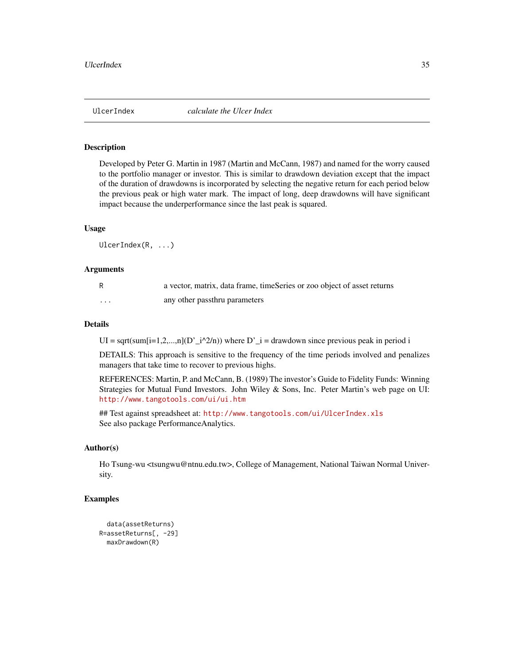<span id="page-34-0"></span>

# Description

Developed by Peter G. Martin in 1987 (Martin and McCann, 1987) and named for the worry caused to the portfolio manager or investor. This is similar to drawdown deviation except that the impact of the duration of drawdowns is incorporated by selecting the negative return for each period below the previous peak or high water mark. The impact of long, deep drawdowns will have significant impact because the underperformance since the last peak is squared.

#### Usage

UlcerIndex(R, ...)

#### Arguments

|   | a vector, matrix, data frame, timeSeries or zoo object of asset returns |
|---|-------------------------------------------------------------------------|
| . | any other passthru parameters                                           |

# Details

UI = sqrt(sum[i=1,2,...,n](D'\_i^2/n)) where D'\_i = drawdown since previous peak in period i

DETAILS: This approach is sensitive to the frequency of the time periods involved and penalizes managers that take time to recover to previous highs.

REFERENCES: Martin, P. and McCann, B. (1989) The investor's Guide to Fidelity Funds: Winning Strategies for Mutual Fund Investors. John Wiley & Sons, Inc. Peter Martin's web page on UI: <http://www.tangotools.com/ui/ui.htm>

## Test against spreadsheet at: <http://www.tangotools.com/ui/UlcerIndex.xls> See also package PerformanceAnalytics.

# Author(s)

Ho Tsung-wu <tsungwu@ntnu.edu.tw>, College of Management, National Taiwan Normal University.

### Examples

```
data(assetReturns)
R=assetReturns[, -29]
 maxDrawdown(R)
```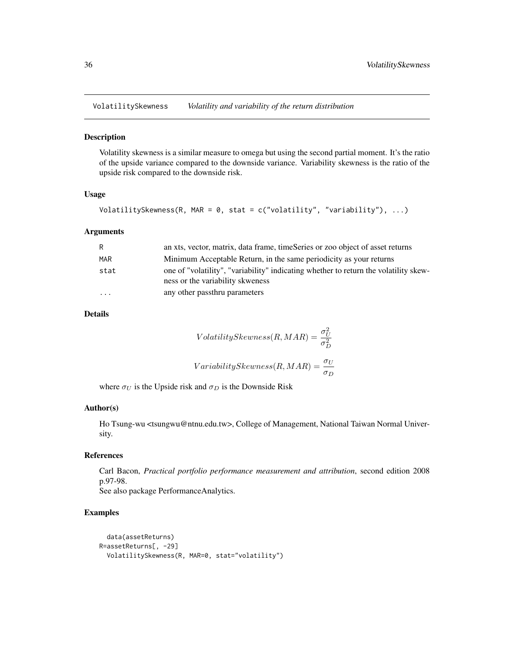<span id="page-35-0"></span>VolatilitySkewness *Volatility and variability of the return distribution*

#### Description

Volatility skewness is a similar measure to omega but using the second partial moment. It's the ratio of the upside variance compared to the downside variance. Variability skewness is the ratio of the upside risk compared to the downside risk.

#### Usage

```
VolatilitySkewness(R, MAR = 0, stat = c("volatility", "variability"), ...)
```
#### Arguments

| R    | an xts, vector, matrix, data frame, timeSeries or zoo object of asset returns                                            |
|------|--------------------------------------------------------------------------------------------------------------------------|
| MAR  | Minimum Acceptable Return, in the same periodicity as your returns                                                       |
| stat | one of "volatility", "variability" indicating whether to return the volatility skew-<br>ness or the variability skweness |
| .    | any other passthru parameters                                                                                            |

# Details

$$
VolatilitySkewness(R, MAR) = \frac{\sigma_U^2}{\sigma_D^2}
$$
  
 
$$
VariabilitySkewness(R, MAR) = \frac{\sigma_U}{\sigma_D}
$$

where  $\sigma_U$  is the Upside risk and  $\sigma_D$  is the Downside Risk

#### Author(s)

Ho Tsung-wu <tsungwu@ntnu.edu.tw>, College of Management, National Taiwan Normal University.

#### References

Carl Bacon, *Practical portfolio performance measurement and attribution*, second edition 2008 p.97-98.

See also package PerformanceAnalytics.

# Examples

```
data(assetReturns)
R=assetReturns[, -29]
 VolatilitySkewness(R, MAR=0, stat="volatility")
```